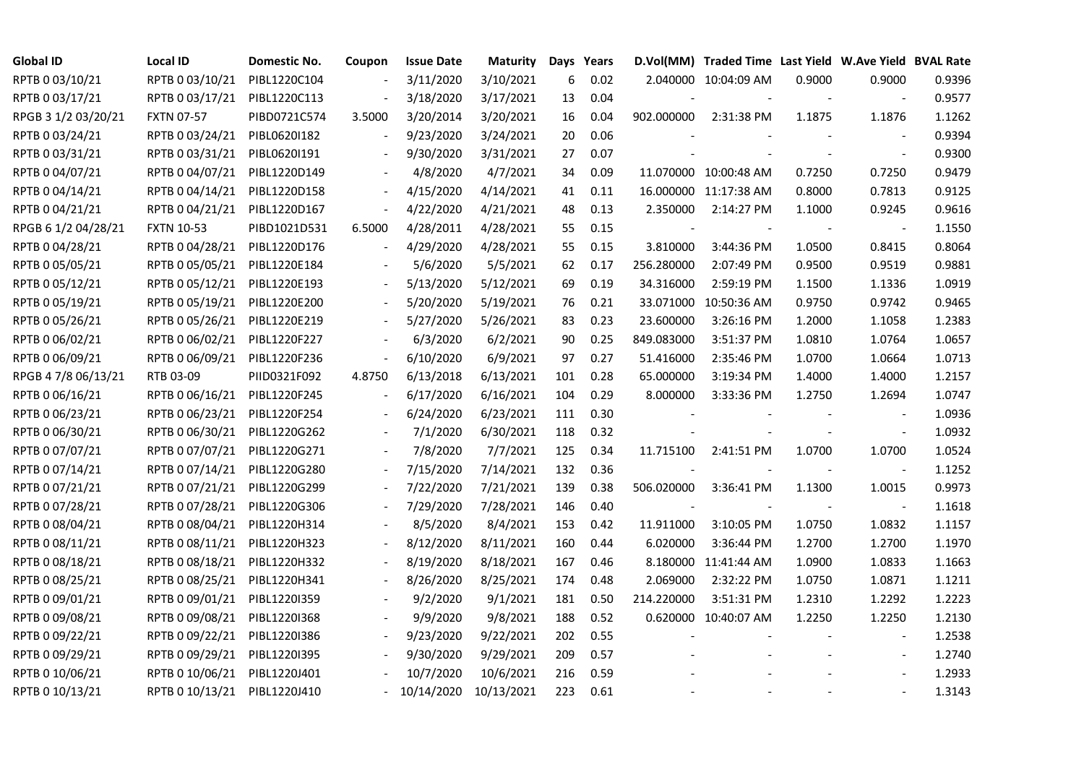| <b>Global ID</b>    | Local ID                     | Domestic No. | Coupon                   | <b>Issue Date</b> | <b>Maturity</b> |     | Days Years |            | D.Vol(MM) Traded Time Last Yield W.Ave Yield BVAL Rate |        |                          |        |
|---------------------|------------------------------|--------------|--------------------------|-------------------|-----------------|-----|------------|------------|--------------------------------------------------------|--------|--------------------------|--------|
| RPTB 0 03/10/21     | RPTB 0 03/10/21              | PIBL1220C104 |                          | 3/11/2020         | 3/10/2021       | 6   | 0.02       |            | 2.040000 10:04:09 AM                                   | 0.9000 | 0.9000                   | 0.9396 |
| RPTB 0 03/17/21     | RPTB 0 03/17/21              | PIBL1220C113 |                          | 3/18/2020         | 3/17/2021       | 13  | 0.04       |            |                                                        |        | $\sim$                   | 0.9577 |
| RPGB 3 1/2 03/20/21 | <b>FXTN 07-57</b>            | PIBD0721C574 | 3.5000                   | 3/20/2014         | 3/20/2021       | 16  | 0.04       | 902.000000 | 2:31:38 PM                                             | 1.1875 | 1.1876                   | 1.1262 |
| RPTB 0 03/24/21     | RPTB 0 03/24/21              | PIBL0620I182 | $\overline{\phantom{a}}$ | 9/23/2020         | 3/24/2021       | 20  | 0.06       |            |                                                        |        | $\overline{\phantom{a}}$ | 0.9394 |
| RPTB 0 03/31/21     | RPTB 0 03/31/21              | PIBL0620I191 |                          | 9/30/2020         | 3/31/2021       | 27  | 0.07       |            |                                                        |        | $\blacksquare$           | 0.9300 |
| RPTB 0 04/07/21     | RPTB 0 04/07/21              | PIBL1220D149 |                          | 4/8/2020          | 4/7/2021        | 34  | 0.09       |            | 11.070000 10:00:48 AM                                  | 0.7250 | 0.7250                   | 0.9479 |
| RPTB 0 04/14/21     | RPTB 0 04/14/21              | PIBL1220D158 |                          | 4/15/2020         | 4/14/2021       | 41  | 0.11       |            | 16.000000 11:17:38 AM                                  | 0.8000 | 0.7813                   | 0.9125 |
| RPTB 0 04/21/21     | RPTB 0 04/21/21              | PIBL1220D167 | $\overline{\phantom{a}}$ | 4/22/2020         | 4/21/2021       | 48  | 0.13       | 2.350000   | 2:14:27 PM                                             | 1.1000 | 0.9245                   | 0.9616 |
| RPGB 6 1/2 04/28/21 | <b>FXTN 10-53</b>            | PIBD1021D531 | 6.5000                   | 4/28/2011         | 4/28/2021       | 55  | 0.15       |            |                                                        |        |                          | 1.1550 |
| RPTB 0 04/28/21     | RPTB 0 04/28/21              | PIBL1220D176 |                          | 4/29/2020         | 4/28/2021       | 55  | 0.15       | 3.810000   | 3:44:36 PM                                             | 1.0500 | 0.8415                   | 0.8064 |
| RPTB 0 05/05/21     | RPTB 0 05/05/21              | PIBL1220E184 |                          | 5/6/2020          | 5/5/2021        | 62  | 0.17       | 256.280000 | 2:07:49 PM                                             | 0.9500 | 0.9519                   | 0.9881 |
| RPTB 0 05/12/21     | RPTB 0 05/12/21              | PIBL1220E193 |                          | 5/13/2020         | 5/12/2021       | 69  | 0.19       | 34.316000  | 2:59:19 PM                                             | 1.1500 | 1.1336                   | 1.0919 |
| RPTB 0 05/19/21     | RPTB 0 05/19/21              | PIBL1220E200 |                          | 5/20/2020         | 5/19/2021       | 76  | 0.21       |            | 33.071000 10:50:36 AM                                  | 0.9750 | 0.9742                   | 0.9465 |
| RPTB 0 05/26/21     | RPTB 0 05/26/21              | PIBL1220E219 |                          | 5/27/2020         | 5/26/2021       | 83  | 0.23       | 23.600000  | 3:26:16 PM                                             | 1.2000 | 1.1058                   | 1.2383 |
| RPTB 0 06/02/21     | RPTB 0 06/02/21              | PIBL1220F227 |                          | 6/3/2020          | 6/2/2021        | 90  | 0.25       | 849.083000 | 3:51:37 PM                                             | 1.0810 | 1.0764                   | 1.0657 |
| RPTB 0 06/09/21     | RPTB 0 06/09/21              | PIBL1220F236 |                          | 6/10/2020         | 6/9/2021        | 97  | 0.27       | 51.416000  | 2:35:46 PM                                             | 1.0700 | 1.0664                   | 1.0713 |
| RPGB 4 7/8 06/13/21 | RTB 03-09                    | PIID0321F092 | 4.8750                   | 6/13/2018         | 6/13/2021       | 101 | 0.28       | 65.000000  | 3:19:34 PM                                             | 1.4000 | 1.4000                   | 1.2157 |
| RPTB 0 06/16/21     | RPTB 0 06/16/21              | PIBL1220F245 | $\blacksquare$           | 6/17/2020         | 6/16/2021       | 104 | 0.29       | 8.000000   | 3:33:36 PM                                             | 1.2750 | 1.2694                   | 1.0747 |
| RPTB 0 06/23/21     | RPTB 0 06/23/21              | PIBL1220F254 |                          | 6/24/2020         | 6/23/2021       | 111 | 0.30       |            |                                                        |        |                          | 1.0936 |
| RPTB 0 06/30/21     | RPTB 0 06/30/21              | PIBL1220G262 |                          | 7/1/2020          | 6/30/2021       | 118 | 0.32       |            |                                                        |        |                          | 1.0932 |
| RPTB 0 07/07/21     | RPTB 0 07/07/21              | PIBL1220G271 |                          | 7/8/2020          | 7/7/2021        | 125 | 0.34       | 11.715100  | 2:41:51 PM                                             | 1.0700 | 1.0700                   | 1.0524 |
| RPTB 0 07/14/21     | RPTB 0 07/14/21              | PIBL1220G280 |                          | 7/15/2020         | 7/14/2021       | 132 | 0.36       |            |                                                        |        | $\blacksquare$           | 1.1252 |
| RPTB 0 07/21/21     | RPTB 0 07/21/21              | PIBL1220G299 |                          | 7/22/2020         | 7/21/2021       | 139 | 0.38       | 506.020000 | 3:36:41 PM                                             | 1.1300 | 1.0015                   | 0.9973 |
| RPTB 0 07/28/21     | RPTB 0 07/28/21              | PIBL1220G306 |                          | 7/29/2020         | 7/28/2021       | 146 | 0.40       |            |                                                        |        |                          | 1.1618 |
| RPTB 0 08/04/21     | RPTB 0 08/04/21              | PIBL1220H314 |                          | 8/5/2020          | 8/4/2021        | 153 | 0.42       | 11.911000  | 3:10:05 PM                                             | 1.0750 | 1.0832                   | 1.1157 |
| RPTB 0 08/11/21     | RPTB 0 08/11/21              | PIBL1220H323 |                          | 8/12/2020         | 8/11/2021       | 160 | 0.44       | 6.020000   | 3:36:44 PM                                             | 1.2700 | 1.2700                   | 1.1970 |
| RPTB 0 08/18/21     | RPTB 0 08/18/21              | PIBL1220H332 |                          | 8/19/2020         | 8/18/2021       | 167 | 0.46       |            | 8.180000 11:41:44 AM                                   | 1.0900 | 1.0833                   | 1.1663 |
| RPTB 0 08/25/21     | RPTB 0 08/25/21              | PIBL1220H341 |                          | 8/26/2020         | 8/25/2021       | 174 | 0.48       | 2.069000   | 2:32:22 PM                                             | 1.0750 | 1.0871                   | 1.1211 |
| RPTB 0 09/01/21     | RPTB 0 09/01/21              | PIBL1220I359 |                          | 9/2/2020          | 9/1/2021        | 181 | 0.50       | 214.220000 | 3:51:31 PM                                             | 1.2310 | 1.2292                   | 1.2223 |
| RPTB 0 09/08/21     | RPTB 0 09/08/21              | PIBL1220I368 |                          | 9/9/2020          | 9/8/2021        | 188 | 0.52       |            | 0.620000 10:40:07 AM                                   | 1.2250 | 1.2250                   | 1.2130 |
| RPTB 0 09/22/21     | RPTB 0 09/22/21              | PIBL1220I386 |                          | 9/23/2020         | 9/22/2021       | 202 | 0.55       |            |                                                        |        |                          | 1.2538 |
| RPTB 0 09/29/21     | RPTB 0 09/29/21              | PIBL1220I395 |                          | 9/30/2020         | 9/29/2021       | 209 | 0.57       |            |                                                        |        | $\blacksquare$           | 1.2740 |
| RPTB 0 10/06/21     | RPTB 0 10/06/21              | PIBL1220J401 |                          | 10/7/2020         | 10/6/2021       | 216 | 0.59       |            |                                                        |        |                          | 1.2933 |
| RPTB 0 10/13/21     | RPTB 0 10/13/21 PIBL1220J410 |              |                          | 10/14/2020        | 10/13/2021      | 223 | 0.61       |            |                                                        |        |                          | 1.3143 |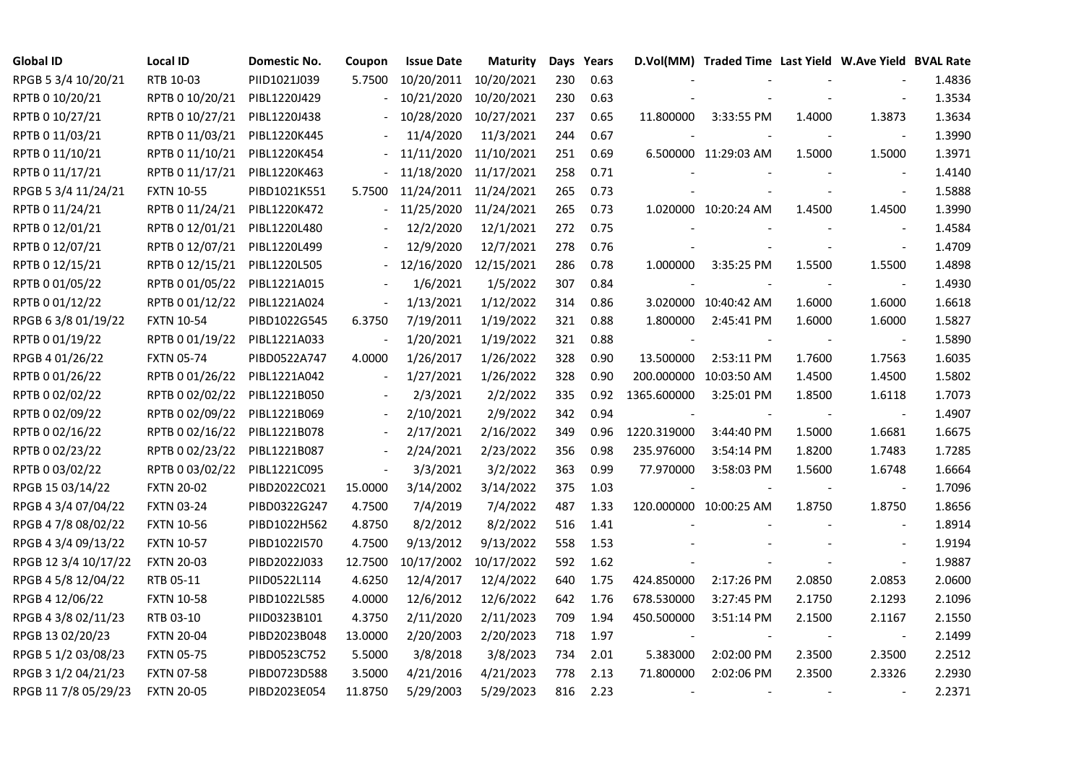| <b>Global ID</b>     | <b>Local ID</b>   | Domestic No. | Coupon                   | <b>Issue Date</b>     | <b>Maturity</b> |     | Days Years |             | D.Vol(MM) Traded Time Last Yield W.Ave Yield BVAL Rate |        |                          |        |
|----------------------|-------------------|--------------|--------------------------|-----------------------|-----------------|-----|------------|-------------|--------------------------------------------------------|--------|--------------------------|--------|
| RPGB 5 3/4 10/20/21  | RTB 10-03         | PIID1021J039 | 5.7500                   | 10/20/2011            | 10/20/2021      | 230 | 0.63       |             |                                                        |        |                          | 1.4836 |
| RPTB 0 10/20/21      | RPTB 0 10/20/21   | PIBL1220J429 |                          | 10/21/2020            | 10/20/2021      | 230 | 0.63       |             |                                                        |        |                          | 1.3534 |
| RPTB 0 10/27/21      | RPTB 0 10/27/21   | PIBL1220J438 |                          | 10/28/2020            | 10/27/2021      | 237 | 0.65       | 11.800000   | 3:33:55 PM                                             | 1.4000 | 1.3873                   | 1.3634 |
| RPTB 0 11/03/21      | RPTB 0 11/03/21   | PIBL1220K445 |                          | 11/4/2020             | 11/3/2021       | 244 | 0.67       |             |                                                        |        | $\overline{\phantom{a}}$ | 1.3990 |
| RPTB 0 11/10/21      | RPTB 0 11/10/21   | PIBL1220K454 |                          | 11/11/2020            | 11/10/2021      | 251 | 0.69       |             | 6.500000 11:29:03 AM                                   | 1.5000 | 1.5000                   | 1.3971 |
| RPTB 0 11/17/21      | RPTB 0 11/17/21   | PIBL1220K463 |                          | 11/18/2020            | 11/17/2021      | 258 | 0.71       |             |                                                        |        |                          | 1.4140 |
| RPGB 5 3/4 11/24/21  | <b>FXTN 10-55</b> | PIBD1021K551 | 5.7500                   | 11/24/2011 11/24/2021 |                 | 265 | 0.73       |             |                                                        |        | $\blacksquare$           | 1.5888 |
| RPTB 0 11/24/21      | RPTB 0 11/24/21   | PIBL1220K472 |                          | 11/25/2020            | 11/24/2021      | 265 | 0.73       |             | 1.020000 10:20:24 AM                                   | 1.4500 | 1.4500                   | 1.3990 |
| RPTB 0 12/01/21      | RPTB 0 12/01/21   | PIBL1220L480 |                          | 12/2/2020             | 12/1/2021       | 272 | 0.75       |             |                                                        |        |                          | 1.4584 |
| RPTB 0 12/07/21      | RPTB 0 12/07/21   | PIBL1220L499 |                          | 12/9/2020             | 12/7/2021       | 278 | 0.76       |             |                                                        |        | $\blacksquare$           | 1.4709 |
| RPTB 0 12/15/21      | RPTB 0 12/15/21   | PIBL1220L505 |                          | 12/16/2020            | 12/15/2021      | 286 | 0.78       | 1.000000    | 3:35:25 PM                                             | 1.5500 | 1.5500                   | 1.4898 |
| RPTB 0 01/05/22      | RPTB 0 01/05/22   | PIBL1221A015 |                          | 1/6/2021              | 1/5/2022        | 307 | 0.84       |             |                                                        |        | $\overline{\phantom{a}}$ | 1.4930 |
| RPTB 0 01/12/22      | RPTB 0 01/12/22   | PIBL1221A024 | $\qquad \qquad \Box$     | 1/13/2021             | 1/12/2022       | 314 | 0.86       |             | 3.020000 10:40:42 AM                                   | 1.6000 | 1.6000                   | 1.6618 |
| RPGB 63/8 01/19/22   | <b>FXTN 10-54</b> | PIBD1022G545 | 6.3750                   | 7/19/2011             | 1/19/2022       | 321 | 0.88       | 1.800000    | 2:45:41 PM                                             | 1.6000 | 1.6000                   | 1.5827 |
| RPTB 0 01/19/22      | RPTB 0 01/19/22   | PIBL1221A033 | $\frac{1}{2}$            | 1/20/2021             | 1/19/2022       | 321 | 0.88       |             |                                                        |        | $\blacksquare$           | 1.5890 |
| RPGB 4 01/26/22      | <b>FXTN 05-74</b> | PIBD0522A747 | 4.0000                   | 1/26/2017             | 1/26/2022       | 328 | 0.90       | 13.500000   | 2:53:11 PM                                             | 1.7600 | 1.7563                   | 1.6035 |
| RPTB 0 01/26/22      | RPTB 0 01/26/22   | PIBL1221A042 | $\overline{\phantom{a}}$ | 1/27/2021             | 1/26/2022       | 328 | 0.90       |             | 200.000000 10:03:50 AM                                 | 1.4500 | 1.4500                   | 1.5802 |
| RPTB 0 02/02/22      | RPTB 0 02/02/22   | PIBL1221B050 | $\overline{\phantom{a}}$ | 2/3/2021              | 2/2/2022        | 335 | 0.92       | 1365.600000 | 3:25:01 PM                                             | 1.8500 | 1.6118                   | 1.7073 |
| RPTB 0 02/09/22      | RPTB 0 02/09/22   | PIBL1221B069 | $\blacksquare$           | 2/10/2021             | 2/9/2022        | 342 | 0.94       |             |                                                        |        |                          | 1.4907 |
| RPTB 0 02/16/22      | RPTB 0 02/16/22   | PIBL1221B078 |                          | 2/17/2021             | 2/16/2022       | 349 | 0.96       | 1220.319000 | 3:44:40 PM                                             | 1.5000 | 1.6681                   | 1.6675 |
| RPTB 0 02/23/22      | RPTB 0 02/23/22   | PIBL1221B087 | $\blacksquare$           | 2/24/2021             | 2/23/2022       | 356 | 0.98       | 235.976000  | 3:54:14 PM                                             | 1.8200 | 1.7483                   | 1.7285 |
| RPTB 0 03/02/22      | RPTB 0 03/02/22   | PIBL1221C095 | $\blacksquare$           | 3/3/2021              | 3/2/2022        | 363 | 0.99       | 77.970000   | 3:58:03 PM                                             | 1.5600 | 1.6748                   | 1.6664 |
| RPGB 15 03/14/22     | <b>FXTN 20-02</b> | PIBD2022C021 | 15.0000                  | 3/14/2002             | 3/14/2022       | 375 | 1.03       |             |                                                        |        |                          | 1.7096 |
| RPGB 4 3/4 07/04/22  | <b>FXTN 03-24</b> | PIBD0322G247 | 4.7500                   | 7/4/2019              | 7/4/2022        | 487 | 1.33       |             | 120.000000 10:00:25 AM                                 | 1.8750 | 1.8750                   | 1.8656 |
| RPGB 4 7/8 08/02/22  | <b>FXTN 10-56</b> | PIBD1022H562 | 4.8750                   | 8/2/2012              | 8/2/2022        | 516 | 1.41       |             |                                                        |        | $\blacksquare$           | 1.8914 |
| RPGB 4 3/4 09/13/22  | <b>FXTN 10-57</b> | PIBD1022I570 | 4.7500                   | 9/13/2012             | 9/13/2022       | 558 | 1.53       |             |                                                        |        |                          | 1.9194 |
| RPGB 12 3/4 10/17/22 | <b>FXTN 20-03</b> | PIBD2022J033 | 12.7500                  | 10/17/2002            | 10/17/2022      | 592 | 1.62       |             |                                                        |        | $\blacksquare$           | 1.9887 |
| RPGB 4 5/8 12/04/22  | RTB 05-11         | PIID0522L114 | 4.6250                   | 12/4/2017             | 12/4/2022       | 640 | 1.75       | 424.850000  | 2:17:26 PM                                             | 2.0850 | 2.0853                   | 2.0600 |
| RPGB 4 12/06/22      | <b>FXTN 10-58</b> | PIBD1022L585 | 4.0000                   | 12/6/2012             | 12/6/2022       | 642 | 1.76       | 678.530000  | 3:27:45 PM                                             | 2.1750 | 2.1293                   | 2.1096 |
| RPGB 4 3/8 02/11/23  | RTB 03-10         | PIID0323B101 | 4.3750                   | 2/11/2020             | 2/11/2023       | 709 | 1.94       | 450.500000  | 3:51:14 PM                                             | 2.1500 | 2.1167                   | 2.1550 |
| RPGB 13 02/20/23     | <b>FXTN 20-04</b> | PIBD2023B048 | 13.0000                  | 2/20/2003             | 2/20/2023       | 718 | 1.97       |             |                                                        |        | $\overline{\phantom{a}}$ | 2.1499 |
| RPGB 5 1/2 03/08/23  | <b>FXTN 05-75</b> | PIBD0523C752 | 5.5000                   | 3/8/2018              | 3/8/2023        | 734 | 2.01       | 5.383000    | 2:02:00 PM                                             | 2.3500 | 2.3500                   | 2.2512 |
| RPGB 3 1/2 04/21/23  | <b>FXTN 07-58</b> | PIBD0723D588 | 3.5000                   | 4/21/2016             | 4/21/2023       | 778 | 2.13       | 71.800000   | 2:02:06 PM                                             | 2.3500 | 2.3326                   | 2.2930 |
| RPGB 11 7/8 05/29/23 | <b>FXTN 20-05</b> | PIBD2023E054 | 11.8750                  | 5/29/2003             | 5/29/2023       | 816 | 2.23       |             |                                                        |        |                          | 2.2371 |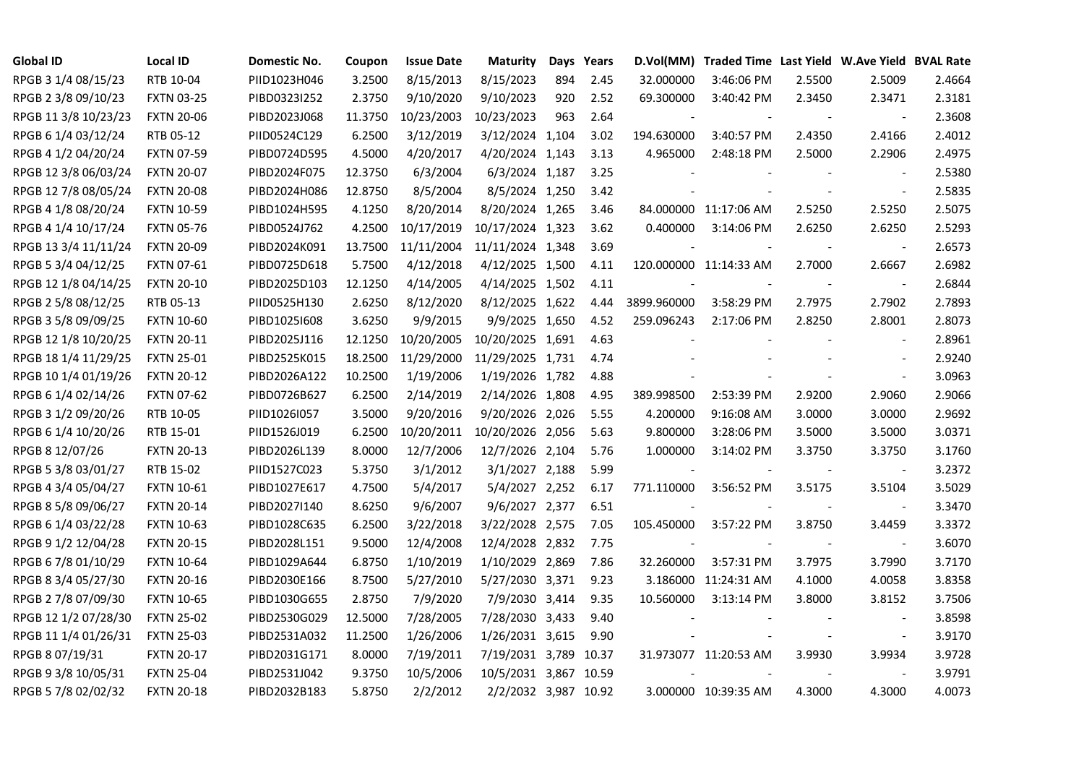| <b>Global ID</b>     | <b>Local ID</b>   | Domestic No. | Coupon  | <b>Issue Date</b> | <b>Maturity</b>       |     | Days Years |             | D.Vol(MM) Traded Time Last Yield W.Ave Yield BVAL Rate |        |                          |        |
|----------------------|-------------------|--------------|---------|-------------------|-----------------------|-----|------------|-------------|--------------------------------------------------------|--------|--------------------------|--------|
| RPGB 3 1/4 08/15/23  | RTB 10-04         | PIID1023H046 | 3.2500  | 8/15/2013         | 8/15/2023             | 894 | 2.45       | 32.000000   | 3:46:06 PM                                             | 2.5500 | 2.5009                   | 2.4664 |
| RPGB 2 3/8 09/10/23  | <b>FXTN 03-25</b> | PIBD0323I252 | 2.3750  | 9/10/2020         | 9/10/2023             | 920 | 2.52       | 69.300000   | 3:40:42 PM                                             | 2.3450 | 2.3471                   | 2.3181 |
| RPGB 11 3/8 10/23/23 | <b>FXTN 20-06</b> | PIBD2023J068 | 11.3750 | 10/23/2003        | 10/23/2023            | 963 | 2.64       |             |                                                        |        | $\overline{\phantom{a}}$ | 2.3608 |
| RPGB 6 1/4 03/12/24  | RTB 05-12         | PIID0524C129 | 6.2500  | 3/12/2019         | 3/12/2024 1,104       |     | 3.02       | 194.630000  | 3:40:57 PM                                             | 2.4350 | 2.4166                   | 2.4012 |
| RPGB 4 1/2 04/20/24  | <b>FXTN 07-59</b> | PIBD0724D595 | 4.5000  | 4/20/2017         | 4/20/2024 1,143       |     | 3.13       | 4.965000    | 2:48:18 PM                                             | 2.5000 | 2.2906                   | 2.4975 |
| RPGB 12 3/8 06/03/24 | <b>FXTN 20-07</b> | PIBD2024F075 | 12.3750 | 6/3/2004          | 6/3/2024 1,187        |     | 3.25       |             |                                                        |        | $\blacksquare$           | 2.5380 |
| RPGB 12 7/8 08/05/24 | <b>FXTN 20-08</b> | PIBD2024H086 | 12.8750 | 8/5/2004          | 8/5/2024 1,250        |     | 3.42       |             |                                                        |        | $\blacksquare$           | 2.5835 |
| RPGB 4 1/8 08/20/24  | <b>FXTN 10-59</b> | PIBD1024H595 | 4.1250  | 8/20/2014         | 8/20/2024 1,265       |     | 3.46       |             | 84.000000 11:17:06 AM                                  | 2.5250 | 2.5250                   | 2.5075 |
| RPGB 4 1/4 10/17/24  | <b>FXTN 05-76</b> | PIBD0524J762 | 4.2500  | 10/17/2019        | 10/17/2024 1,323      |     | 3.62       | 0.400000    | 3:14:06 PM                                             | 2.6250 | 2.6250                   | 2.5293 |
| RPGB 13 3/4 11/11/24 | <b>FXTN 20-09</b> | PIBD2024K091 | 13.7500 | 11/11/2004        | 11/11/2024 1,348      |     | 3.69       |             |                                                        |        | $\overline{\phantom{a}}$ | 2.6573 |
| RPGB 5 3/4 04/12/25  | <b>FXTN 07-61</b> | PIBD0725D618 | 5.7500  | 4/12/2018         | 4/12/2025 1,500       |     | 4.11       |             | 120.000000 11:14:33 AM                                 | 2.7000 | 2.6667                   | 2.6982 |
| RPGB 12 1/8 04/14/25 | <b>FXTN 20-10</b> | PIBD2025D103 | 12.1250 | 4/14/2005         | 4/14/2025 1,502       |     | 4.11       |             |                                                        |        | $\overline{\phantom{a}}$ | 2.6844 |
| RPGB 2 5/8 08/12/25  | RTB 05-13         | PIID0525H130 | 2.6250  | 8/12/2020         | 8/12/2025 1,622       |     | 4.44       | 3899.960000 | 3:58:29 PM                                             | 2.7975 | 2.7902                   | 2.7893 |
| RPGB 3 5/8 09/09/25  | <b>FXTN 10-60</b> | PIBD10251608 | 3.6250  | 9/9/2015          | 9/9/2025 1,650        |     | 4.52       | 259.096243  | 2:17:06 PM                                             | 2.8250 | 2.8001                   | 2.8073 |
| RPGB 12 1/8 10/20/25 | <b>FXTN 20-11</b> | PIBD2025J116 | 12.1250 | 10/20/2005        | 10/20/2025 1,691      |     | 4.63       |             |                                                        |        | $\bar{\phantom{a}}$      | 2.8961 |
| RPGB 18 1/4 11/29/25 | <b>FXTN 25-01</b> | PIBD2525K015 | 18.2500 | 11/29/2000        | 11/29/2025 1,731      |     | 4.74       |             |                                                        |        | $\overline{\phantom{a}}$ | 2.9240 |
| RPGB 10 1/4 01/19/26 | <b>FXTN 20-12</b> | PIBD2026A122 | 10.2500 | 1/19/2006         | 1/19/2026 1,782       |     | 4.88       |             |                                                        |        | $\blacksquare$           | 3.0963 |
| RPGB 6 1/4 02/14/26  | <b>FXTN 07-62</b> | PIBD0726B627 | 6.2500  | 2/14/2019         | 2/14/2026 1,808       |     | 4.95       | 389.998500  | 2:53:39 PM                                             | 2.9200 | 2.9060                   | 2.9066 |
| RPGB 3 1/2 09/20/26  | RTB 10-05         | PIID1026I057 | 3.5000  | 9/20/2016         | 9/20/2026 2,026       |     | 5.55       | 4.200000    | 9:16:08 AM                                             | 3.0000 | 3.0000                   | 2.9692 |
| RPGB 6 1/4 10/20/26  | RTB 15-01         | PIID1526J019 | 6.2500  | 10/20/2011        | 10/20/2026 2,056      |     | 5.63       | 9.800000    | 3:28:06 PM                                             | 3.5000 | 3.5000                   | 3.0371 |
| RPGB 8 12/07/26      | <b>FXTN 20-13</b> | PIBD2026L139 | 8.0000  | 12/7/2006         | 12/7/2026 2,104       |     | 5.76       | 1.000000    | 3:14:02 PM                                             | 3.3750 | 3.3750                   | 3.1760 |
| RPGB 5 3/8 03/01/27  | RTB 15-02         | PIID1527C023 | 5.3750  | 3/1/2012          | 3/1/2027 2,188        |     | 5.99       |             |                                                        |        | $\overline{\phantom{a}}$ | 3.2372 |
| RPGB 4 3/4 05/04/27  | <b>FXTN 10-61</b> | PIBD1027E617 | 4.7500  | 5/4/2017          | 5/4/2027 2,252        |     | 6.17       | 771.110000  | 3:56:52 PM                                             | 3.5175 | 3.5104                   | 3.5029 |
| RPGB 8 5/8 09/06/27  | <b>FXTN 20-14</b> | PIBD2027I140 | 8.6250  | 9/6/2007          | 9/6/2027 2,377        |     | 6.51       |             |                                                        | $\sim$ | $\overline{\phantom{a}}$ | 3.3470 |
| RPGB 6 1/4 03/22/28  | <b>FXTN 10-63</b> | PIBD1028C635 | 6.2500  | 3/22/2018         | 3/22/2028 2,575       |     | 7.05       | 105.450000  | 3:57:22 PM                                             | 3.8750 | 3.4459                   | 3.3372 |
| RPGB 9 1/2 12/04/28  | <b>FXTN 20-15</b> | PIBD2028L151 | 9.5000  | 12/4/2008         | 12/4/2028 2,832       |     | 7.75       |             |                                                        |        | $\overline{\phantom{a}}$ | 3.6070 |
| RPGB 67/8 01/10/29   | <b>FXTN 10-64</b> | PIBD1029A644 | 6.8750  | 1/10/2019         | 1/10/2029 2,869       |     | 7.86       | 32.260000   | 3:57:31 PM                                             | 3.7975 | 3.7990                   | 3.7170 |
| RPGB 8 3/4 05/27/30  | <b>FXTN 20-16</b> | PIBD2030E166 | 8.7500  | 5/27/2010         | 5/27/2030 3,371       |     | 9.23       |             | 3.186000 11:24:31 AM                                   | 4.1000 | 4.0058                   | 3.8358 |
| RPGB 2 7/8 07/09/30  | <b>FXTN 10-65</b> | PIBD1030G655 | 2.8750  | 7/9/2020          | 7/9/2030 3,414        |     | 9.35       | 10.560000   | 3:13:14 PM                                             | 3.8000 | 3.8152                   | 3.7506 |
| RPGB 12 1/2 07/28/30 | <b>FXTN 25-02</b> | PIBD2530G029 | 12.5000 | 7/28/2005         | 7/28/2030 3,433       |     | 9.40       |             |                                                        |        |                          | 3.8598 |
| RPGB 11 1/4 01/26/31 | <b>FXTN 25-03</b> | PIBD2531A032 | 11.2500 | 1/26/2006         | 1/26/2031 3,615       |     | 9.90       |             |                                                        |        | $\blacksquare$           | 3.9170 |
| RPGB 8 07/19/31      | <b>FXTN 20-17</b> | PIBD2031G171 | 8.0000  | 7/19/2011         | 7/19/2031 3,789 10.37 |     |            |             | 31.973077 11:20:53 AM                                  | 3.9930 | 3.9934                   | 3.9728 |
| RPGB 9 3/8 10/05/31  | <b>FXTN 25-04</b> | PIBD2531J042 | 9.3750  | 10/5/2006         | 10/5/2031 3,867 10.59 |     |            |             |                                                        |        | $\blacksquare$           | 3.9791 |
| RPGB 5 7/8 02/02/32  | <b>FXTN 20-18</b> | PIBD2032B183 | 5.8750  | 2/2/2012          | 2/2/2032 3,987 10.92  |     |            |             | 3.000000 10:39:35 AM                                   | 4.3000 | 4.3000                   | 4.0073 |